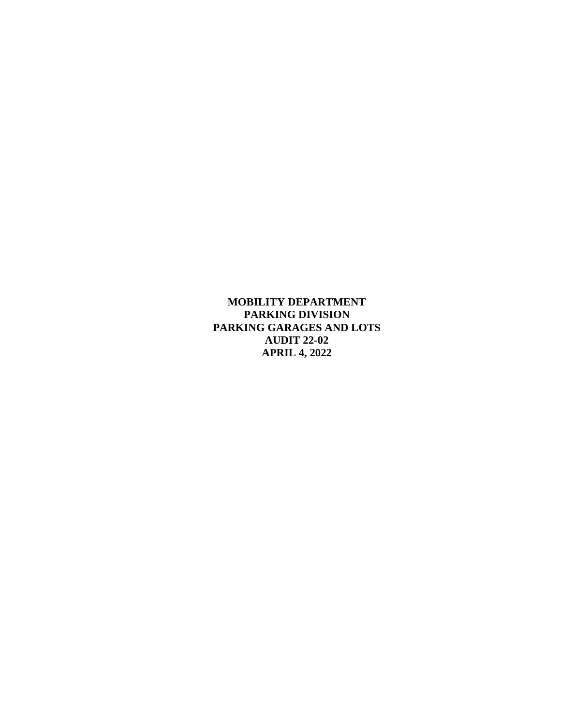**MOBILITY DEPARTMENT PARKING DIVISION PARKING GARAGES AND LOTS AUDIT 22-02 APRIL 4, 2022**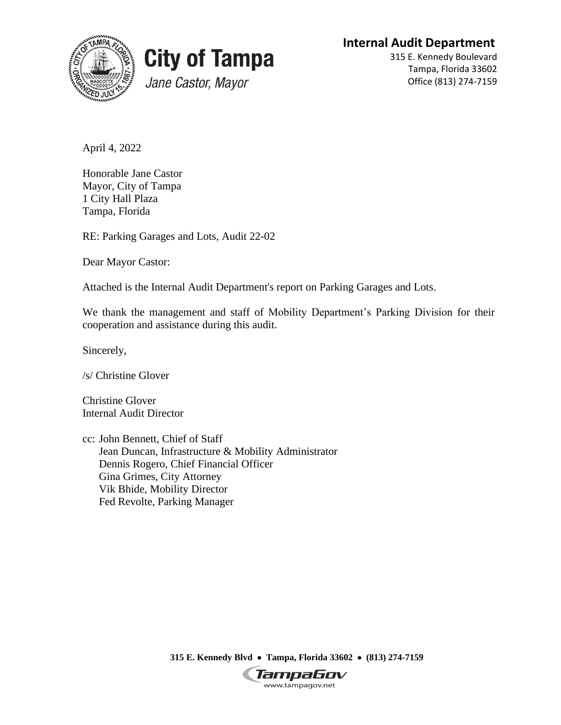**Internal Audit Department**





315 E. Kennedy Boulevard Tampa, Florida 33602 Office (813) 274-7159

April 4, 2022

Honorable Jane Castor Mayor, City of Tampa 1 City Hall Plaza Tampa, Florida

RE: Parking Garages and Lots, Audit 22-02

Dear Mayor Castor:

Attached is the Internal Audit Department's report on Parking Garages and Lots.

We thank the management and staff of Mobility Department's Parking Division for their cooperation and assistance during this audit.

Sincerely,

/s/ Christine Glover

Christine Glover Internal Audit Director

cc: John Bennett, Chief of Staff Jean Duncan, Infrastructure & Mobility Administrator Dennis Rogero, Chief Financial Officer Gina Grimes, City Attorney Vik Bhide, Mobility Director Fed Revolte, Parking Manager

**315 E. Kennedy Blvd** • **Tampa, Florida 33602** • **(813) 274-7159**

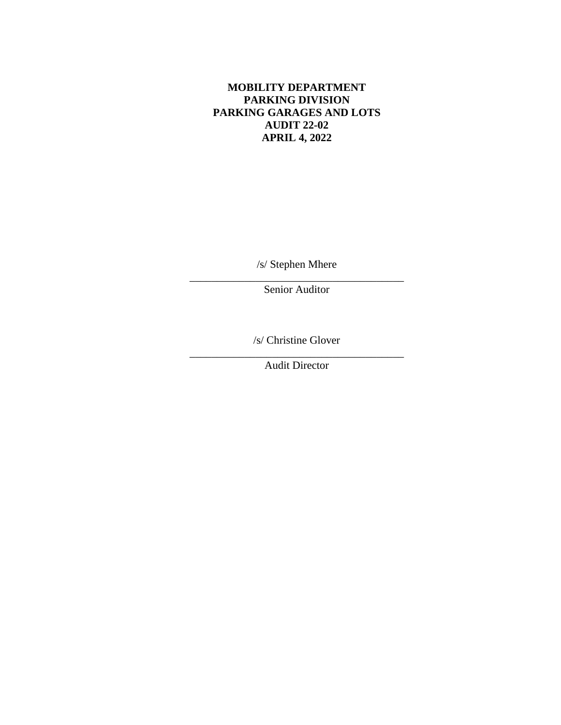### **MOBILITY DEPARTMENT PARKING DIVISION PARKING GARAGES AND LOTS AUDIT 22-02 APRIL 4, 2022**

/s/ Stephen Mhere \_\_\_\_\_\_\_\_\_\_\_\_\_\_\_\_\_\_\_\_\_\_\_\_\_\_\_\_\_\_\_\_\_\_\_\_\_\_\_

Senior Auditor

/s/ Christine Glover

\_\_\_\_\_\_\_\_\_\_\_\_\_\_\_\_\_\_\_\_\_\_\_\_\_\_\_\_\_\_\_\_\_\_\_\_\_\_\_ Audit Director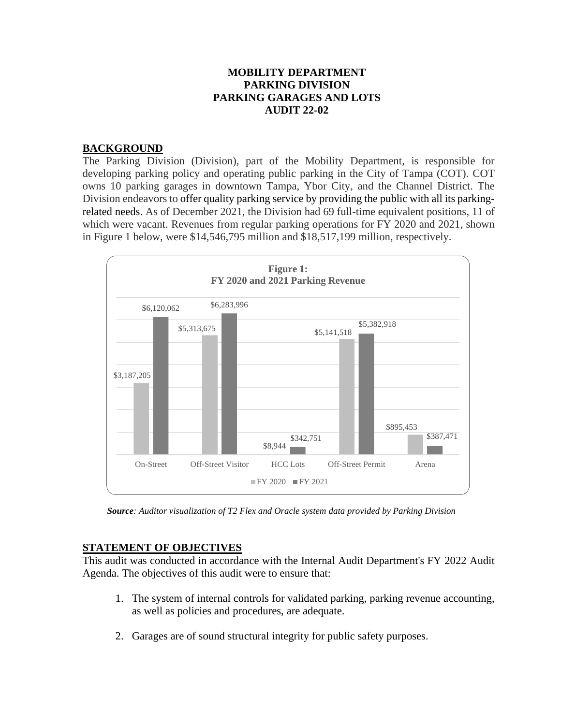#### **MOBILITY DEPARTMENT PARKING DIVISION PARKING GARAGES AND LOTS AUDIT 22-02**

#### **BACKGROUND**

The Parking Division (Division), part of the Mobility Department, is responsible for developing parking policy and operating public parking in the City of Tampa (COT). COT owns 10 parking garages in downtown Tampa, Ybor City, and the Channel District. The Division endeavors to offer quality parking service by providing the public with all its parkingrelated needs. As of December 2021, the Division had 69 full-time equivalent positions, 11 of which were vacant. Revenues from regular parking operations for FY 2020 and 2021, shown in Figure 1 below, were \$14,546,795 million and \$18,517,199 million, respectively.



*Source: Auditor visualization of T2 Flex and Oracle system data provided by Parking Division*

### **STATEMENT OF OBJECTIVES**

This audit was conducted in accordance with the Internal Audit Department's FY 2022 Audit Agenda. The objectives of this audit were to ensure that:

- 1. The system of internal controls for validated parking, parking revenue accounting, as well as policies and procedures, are adequate.
- 2. Garages are of sound structural integrity for public safety purposes.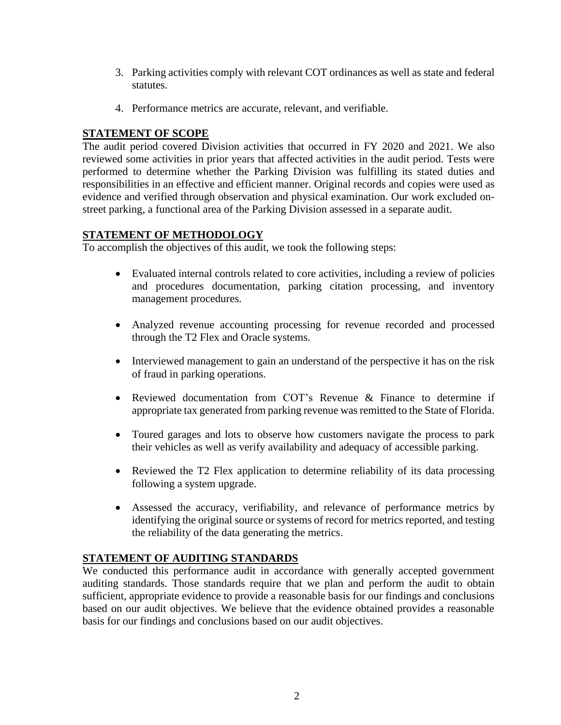- 3. Parking activities comply with relevant COT ordinances as well as state and federal statutes.
- 4. Performance metrics are accurate, relevant, and verifiable.

### **STATEMENT OF SCOPE**

The audit period covered Division activities that occurred in FY 2020 and 2021. We also reviewed some activities in prior years that affected activities in the audit period. Tests were performed to determine whether the Parking Division was fulfilling its stated duties and responsibilities in an effective and efficient manner. Original records and copies were used as evidence and verified through observation and physical examination. Our work excluded onstreet parking, a functional area of the Parking Division assessed in a separate audit.

## **STATEMENT OF METHODOLOGY**

To accomplish the objectives of this audit, we took the following steps:

- Evaluated internal controls related to core activities, including a review of policies and procedures documentation, parking citation processing, and inventory management procedures.
- Analyzed revenue accounting processing for revenue recorded and processed through the T2 Flex and Oracle systems.
- Interviewed management to gain an understand of the perspective it has on the risk of fraud in parking operations.
- Reviewed documentation from COT's Revenue & Finance to determine if appropriate tax generated from parking revenue was remitted to the State of Florida.
- Toured garages and lots to observe how customers navigate the process to park their vehicles as well as verify availability and adequacy of accessible parking.
- Reviewed the T2 Flex application to determine reliability of its data processing following a system upgrade.
- Assessed the accuracy, verifiability, and relevance of performance metrics by identifying the original source or systems of record for metrics reported, and testing the reliability of the data generating the metrics.

### **STATEMENT OF AUDITING STANDARDS**

We conducted this performance audit in accordance with generally accepted government auditing standards. Those standards require that we plan and perform the audit to obtain sufficient, appropriate evidence to provide a reasonable basis for our findings and conclusions based on our audit objectives. We believe that the evidence obtained provides a reasonable basis for our findings and conclusions based on our audit objectives.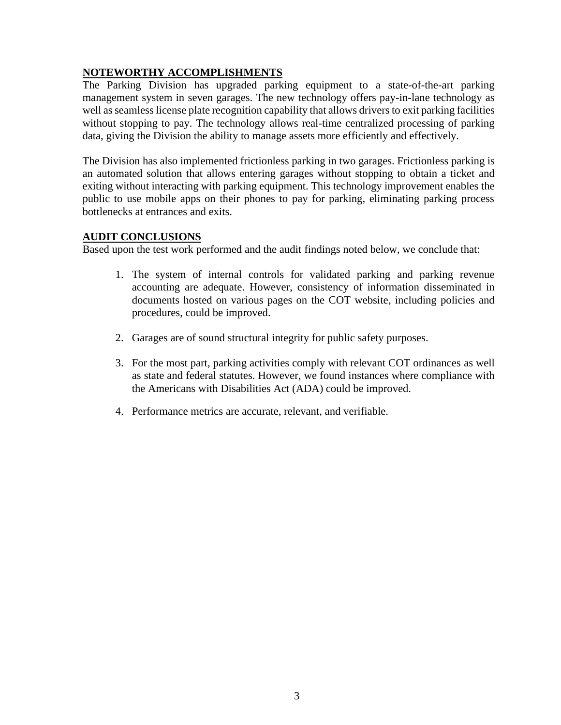# **NOTEWORTHY ACCOMPLISHMENTS**

The Parking Division has upgraded parking equipment to a state-of-the-art parking management system in seven garages. The new technology offers pay-in-lane technology as well as seamless license plate recognition capability that allows drivers to exit parking facilities without stopping to pay. The technology allows real-time centralized processing of parking data, giving the Division the ability to manage assets more efficiently and effectively.

The Division has also implemented frictionless parking in two garages. Frictionless parking is an automated solution that allows entering garages without stopping to obtain a ticket and exiting without interacting with parking equipment. This technology improvement enables the public to use mobile apps on their phones to pay for parking, eliminating parking process bottlenecks at entrances and exits.

### **AUDIT CONCLUSIONS**

Based upon the test work performed and the audit findings noted below, we conclude that:

- 1. The system of internal controls for validated parking and parking revenue accounting are adequate. However, consistency of information disseminated in documents hosted on various pages on the COT website, including policies and procedures, could be improved.
- 2. Garages are of sound structural integrity for public safety purposes.
- 3. For the most part, parking activities comply with relevant COT ordinances as well as state and federal statutes. However, we found instances where compliance with the Americans with Disabilities Act (ADA) could be improved.
- 4. Performance metrics are accurate, relevant, and verifiable.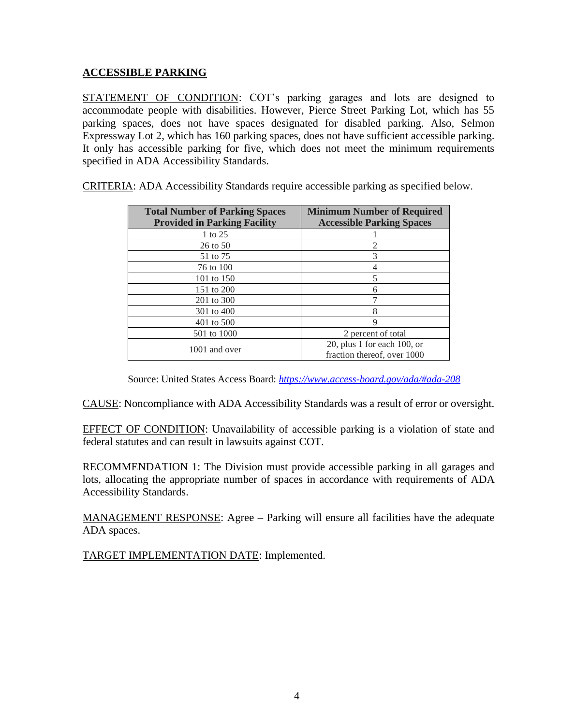### **ACCESSIBLE PARKING**

STATEMENT OF CONDITION: COT's parking garages and lots are designed to accommodate people with disabilities. However, Pierce Street Parking Lot, which has 55 parking spaces, does not have spaces designated for disabled parking. Also, Selmon Expressway Lot 2, which has 160 parking spaces, does not have sufficient accessible parking. It only has accessible parking for five, which does not meet the minimum requirements specified in ADA Accessibility Standards.

| <b>Total Number of Parking Spaces</b> | <b>Minimum Number of Required</b> |
|---------------------------------------|-----------------------------------|
| <b>Provided in Parking Facility</b>   | <b>Accessible Parking Spaces</b>  |
| 1 to 25                               |                                   |
| 26 to 50                              |                                   |
| 51 to 75                              | 3                                 |
| 76 to 100                             | 4                                 |
| 101 to 150                            | 5                                 |
| 151 to 200                            | 6                                 |
| 201 to 300                            |                                   |
| 301 to 400                            | 8                                 |
| 401 to 500                            | 9                                 |
| 501 to 1000                           | 2 percent of total                |
| 1001 and over                         | 20, plus 1 for each 100, or       |
|                                       | fraction thereof, over 1000       |

CRITERIA: ADA Accessibility Standards require accessible parking as specified below.

Source: United States Access Board: *<https://www.access-board.gov/ada/#ada-208>*

CAUSE: Noncompliance with ADA Accessibility Standards was a result of error or oversight.

EFFECT OF CONDITION: Unavailability of accessible parking is a violation of state and federal statutes and can result in lawsuits against COT.

RECOMMENDATION 1: The Division must provide accessible parking in all garages and lots, allocating the appropriate number of spaces in accordance with requirements of ADA Accessibility Standards.

MANAGEMENT RESPONSE: Agree – Parking will ensure all facilities have the adequate ADA spaces.

TARGET IMPLEMENTATION DATE: Implemented.